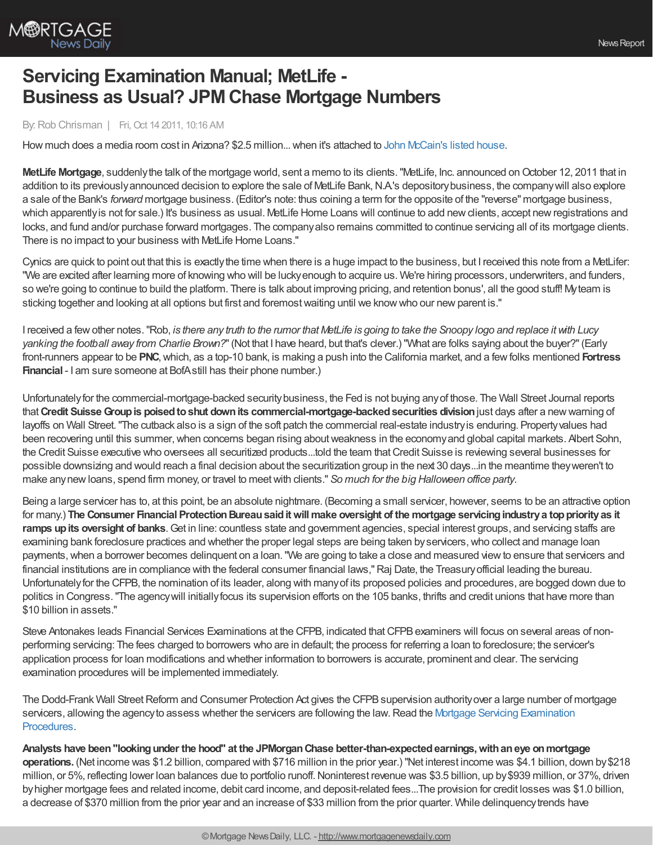

## **Servicing Examination Manual; MetLife - Business as Usual? JPMChase Mortgage Numbers**

## By:Rob Chrisman | Fri, Oct 14 2011, 10:16 AM

How much does a media room cost in Arizona? \$2.5 million... when it's attached to John [McCain's](http://www.houses.com/Learn/HousingNews/U.S.-Senator-John-McCain-Selling-His-Phoenix-Home) listed house.

**MetLife Mortgage**, suddenly the talk of the mortgage world, sent a memo to its clients. "MetLife, Inc. announced on October 12, 2011 that in addition to its previously announced decision to explore the sale of MetLife Bank, N.A's depository business, the company will also explore a sale of the Bank's *forward* mortgage business. (Editor's note: thus coining a term for the opposite of the "reverse" mortgage business, which apparently is not for sale.) It's business as usual. MetLife Home Loans will continue to add new clients, accept new registrations and locks, and fund and/or purchase forward mortgages. The companyalso remains committed to continue servicing all of its mortgage clients. There is no impact to your business with MetLife Home Loans."

Cynics are quick to point out that this is exactly the time when there is a huge impact to the business, but I received this note from a MetLifer: "We are excited after learning more of knowing who will be luckyenough to acquire us. We're hiring processors, underwriters, and funders, so we're going to continue to build the platform. There is talk about improving pricing, and retention bonus', all the good stuff! Myteam is sticking together and looking at all options but first and foremostwaiting until we knowwho our newparent is."

I received a few other notes. "Rob, is there any truth to the rumor that MetLife is going to take the Snoopy logo and replace it with Lucy *yanking the football away from Charlie Brown?*"(Not that I have heard, but that's clever.) "What are folks saying about the buyer?"(Early front-runners appear to be **PNC**,which, as a top-10 bank, is making a push into the California market, and a fewfolks mentioned **Fortress Financial** - I am sure someone at BofAstill has their phone number.)

Unfortunatelyfor the commercial-mortgage-backed securitybusiness, the Fed is not buying anyof those. The Wall Street Journal reports that**Credit SuisseGroupis poisedtoshut downits commercial-mortgage-backedsecurities division**just days after a newwarning of layoffs on Wall Street."The cutback also is a sign of the soft patch the commercial real-estate industryis enduring. Propertyvalues had been recovering until this summer, when concerns began rising about weakness in the economy and global capital markets. Albert Sohn, the Credit Suisse executive who oversees all securitized products...told the team thatCredit Suisse is reviewing several businesses for possible downsizing and would reach a final decision about the securitization group in the next 30 days...in the meantime theyweren't to make anynewloans, spend firm money, or travel to meetwith clients." *So much for the big Halloween office party*.

Being a large servicer has to, at this point, be an absolute nightmare. (Becoming a small servicer, however, seems to be an attractive option for many.) **The Consumer Financial ProtectionBureausaiditwillmake oversight of the mortgage servicingindustrya toppriorityas it ramps upits oversight of banks**.Get in line: countless state and government agencies, special interest groups, and servicing staffs are examining bank foreclosure practices and whether the proper legal steps are being taken by servicers, who collect and manage loan payments, when a borrower becomes delinquent on a loan. "We are going to take a close and measured view to ensure that servicers and financial institutions are in compliance with the federal consumer financial laws,"Raj Date, the Treasuryofficial leading the bureau. Unfortunatelyfor the CFPB, the nomination of its leader, along with manyof its proposed policies and procedures, are bogged down due to politics in Congress."The agencywill initiallyfocus its supervision efforts on the 105 banks, thrifts and credit unions that have more than \$10 billion in assets."

Steve Antonakes leads Financial Services Examinations at the CFPB, indicated that CFPB examiners will focus on several areas of nonperforming servicing: The fees charged to borrowers who are in default; the process for referring a loan to foreclosure; the servicer's application process for loan modifications and whether information to borrowers is accurate, prominent and clear. The servicing examination procedures will be implemented immediately.

The Dodd-Frank Wall Street Reform and Consumer Protection Act gives the CFPB supervision authority over a large number of mortgage servicers, allowing the agency to assess whether the servicers are following the law. Read the Mortgage Servicing [Examination](http://www.consumerfinance.gov/guidance/supervision/manual/mortgage-servicing-examination-procedures/) Procedures.

**Analysts have been"lookingunder the hood" at the JPMorganChase better-than-expectedearnings,withaneye onmortgage operations.** (Net income was \$1.2 billion, compared with \$716 million in the prior year.) "Net interest income was \$4.1 billion, down by\$218 million, or 5%, reflecting lower loan balances due to portfolio runoff. Noninterest revenue was \$3.5 billion, up by \$939 million, or 37%, driven byhigher mortgage fees and related income, debit card income, and deposit-related fees...The provision for credit losses was \$1.0 billion, a decrease of \$370 million from the prior year and an increase of \$33 million from the prior quarter. While delinquency trends have